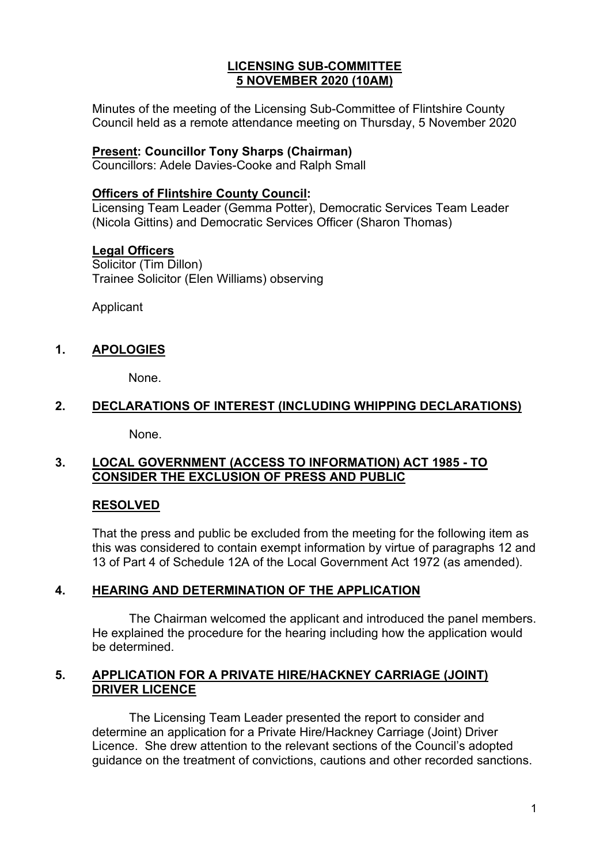## **LICENSING SUB-COMMITTEE 5 NOVEMBER 2020 (10AM)**

Minutes of the meeting of the Licensing Sub-Committee of Flintshire County Council held as a remote attendance meeting on Thursday, 5 November 2020

#### **Present: Councillor Tony Sharps (Chairman)**

Councillors: Adele Davies-Cooke and Ralph Small

## **Officers of Flintshire County Council:**

Licensing Team Leader (Gemma Potter), Democratic Services Team Leader (Nicola Gittins) and Democratic Services Officer (Sharon Thomas)

#### **Legal Officers**

Solicitor (Tim Dillon) Trainee Solicitor (Elen Williams) observing

Applicant

## **1. APOLOGIES**

None.

## **2. DECLARATIONS OF INTEREST (INCLUDING WHIPPING DECLARATIONS)**

None.

## **3. LOCAL GOVERNMENT (ACCESS TO INFORMATION) ACT 1985 - TO CONSIDER THE EXCLUSION OF PRESS AND PUBLIC**

## **RESOLVED**

That the press and public be excluded from the meeting for the following item as this was considered to contain exempt information by virtue of paragraphs 12 and 13 of Part 4 of Schedule 12A of the Local Government Act 1972 (as amended).

## **4. HEARING AND DETERMINATION OF THE APPLICATION**

The Chairman welcomed the applicant and introduced the panel members. He explained the procedure for the hearing including how the application would be determined.

## **5. APPLICATION FOR A PRIVATE HIRE/HACKNEY CARRIAGE (JOINT) DRIVER LICENCE**

The Licensing Team Leader presented the report to consider and determine an application for a Private Hire/Hackney Carriage (Joint) Driver Licence. She drew attention to the relevant sections of the Council's adopted guidance on the treatment of convictions, cautions and other recorded sanctions.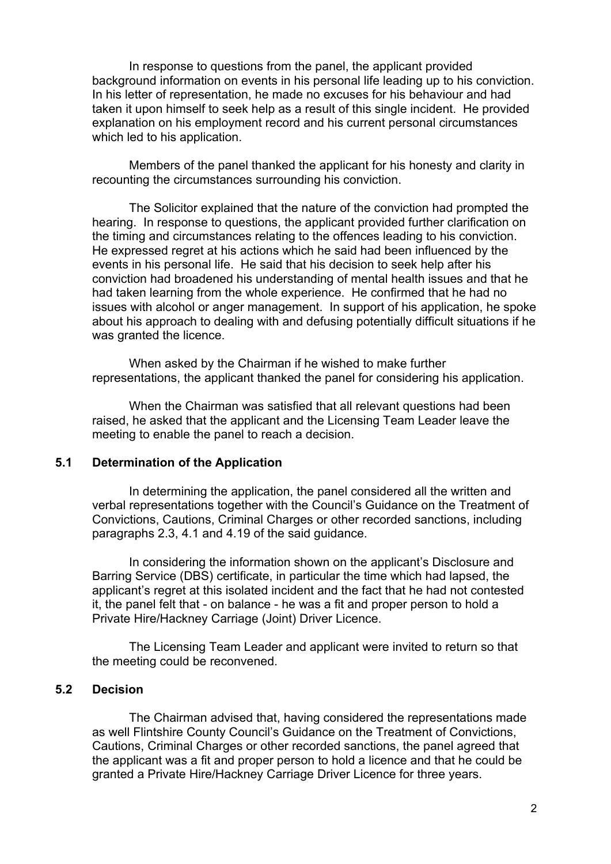In response to questions from the panel, the applicant provided background information on events in his personal life leading up to his conviction. In his letter of representation, he made no excuses for his behaviour and had taken it upon himself to seek help as a result of this single incident. He provided explanation on his employment record and his current personal circumstances which led to his application.

Members of the panel thanked the applicant for his honesty and clarity in recounting the circumstances surrounding his conviction.

The Solicitor explained that the nature of the conviction had prompted the hearing. In response to questions, the applicant provided further clarification on the timing and circumstances relating to the offences leading to his conviction. He expressed regret at his actions which he said had been influenced by the events in his personal life. He said that his decision to seek help after his conviction had broadened his understanding of mental health issues and that he had taken learning from the whole experience. He confirmed that he had no issues with alcohol or anger management. In support of his application, he spoke about his approach to dealing with and defusing potentially difficult situations if he was granted the licence.

When asked by the Chairman if he wished to make further representations, the applicant thanked the panel for considering his application.

When the Chairman was satisfied that all relevant questions had been raised, he asked that the applicant and the Licensing Team Leader leave the meeting to enable the panel to reach a decision.

#### **5.1 Determination of the Application**

In determining the application, the panel considered all the written and verbal representations together with the Council's Guidance on the Treatment of Convictions, Cautions, Criminal Charges or other recorded sanctions, including paragraphs 2.3, 4.1 and 4.19 of the said guidance.

In considering the information shown on the applicant's Disclosure and Barring Service (DBS) certificate, in particular the time which had lapsed, the applicant's regret at this isolated incident and the fact that he had not contested it, the panel felt that - on balance - he was a fit and proper person to hold a Private Hire/Hackney Carriage (Joint) Driver Licence.

The Licensing Team Leader and applicant were invited to return so that the meeting could be reconvened.

#### **5.2 Decision**

The Chairman advised that, having considered the representations made as well Flintshire County Council's Guidance on the Treatment of Convictions, Cautions, Criminal Charges or other recorded sanctions, the panel agreed that the applicant was a fit and proper person to hold a licence and that he could be granted a Private Hire/Hackney Carriage Driver Licence for three years.